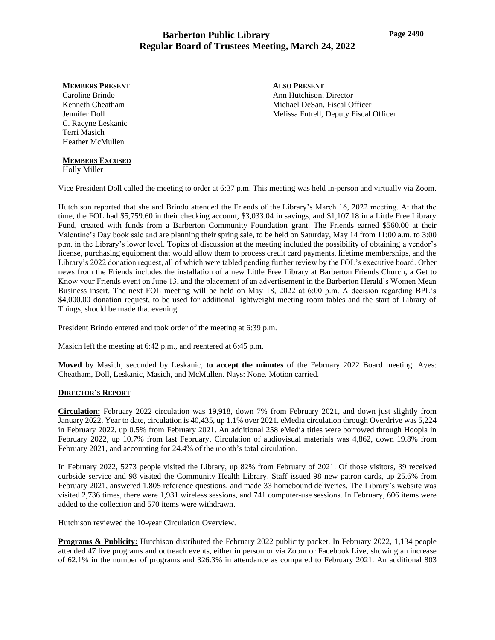#### **MEMBERS PRESENT**

Caroline Brindo Kenneth Cheatham Jennifer Doll C. Racyne Leskanic Terri Masich Heather McMullen

# **MEMBERS EXCUSED**

Holly Miller

Vice President Doll called the meeting to order at 6:37 p.m. This meeting was held in-person and virtually via Zoom.

Hutchison reported that she and Brindo attended the Friends of the Library's March 16, 2022 meeting. At that the time, the FOL had \$5,759.60 in their checking account, \$3,033.04 in savings, and \$1,107.18 in a Little Free Library Fund, created with funds from a Barberton Community Foundation grant. The Friends earned \$560.00 at their Valentine's Day book sale and are planning their spring sale, to be held on Saturday, May 14 from 11:00 a.m. to 3:00 p.m. in the Library's lower level. Topics of discussion at the meeting included the possibility of obtaining a vendor's license, purchasing equipment that would allow them to process credit card payments, lifetime memberships, and the Library's 2022 donation request, all of which were tabled pending further review by the FOL's executive board. Other news from the Friends includes the installation of a new Little Free Library at Barberton Friends Church, a Get to Know your Friends event on June 13, and the placement of an advertisement in the Barberton Herald's Women Mean Business insert. The next FOL meeting will be held on May 18, 2022 at 6:00 p.m. A decision regarding BPL's \$4,000.00 donation request, to be used for additional lightweight meeting room tables and the start of Library of Things, should be made that evening.

President Brindo entered and took order of the meeting at 6:39 p.m.

Masich left the meeting at 6:42 p.m., and reentered at 6:45 p.m.

**Moved** by Masich, seconded by Leskanic, **to accept the minutes** of the February 2022 Board meeting. Ayes: Cheatham, Doll, Leskanic, Masich, and McMullen. Nays: None. Motion carried.

### **DIRECTOR'S REPORT**

**Circulation:** February 2022 circulation was 19,918, down 7% from February 2021, and down just slightly from January 2022. Year to date, circulation is 40,435, up 1.1% over 2021. eMedia circulation through Overdrive was 5,224 in February 2022, up 0.5% from February 2021. An additional 258 eMedia titles were borrowed through Hoopla in February 2022, up 10.7% from last February. Circulation of audiovisual materials was 4,862, down 19.8% from February 2021, and accounting for 24.4% of the month's total circulation.

In February 2022, 5273 people visited the Library, up 82% from February of 2021. Of those visitors, 39 received curbside service and 98 visited the Community Health Library. Staff issued 98 new patron cards, up 25.6% from February 2021, answered 1,805 reference questions, and made 33 homebound deliveries. The Library's website was visited 2,736 times, there were 1,931 wireless sessions, and 741 computer-use sessions. In February, 606 items were added to the collection and 570 items were withdrawn.

Hutchison reviewed the 10-year Circulation Overview.

**Programs & Publicity:** Hutchison distributed the February 2022 publicity packet. In February 2022, 1,134 people attended 47 live programs and outreach events, either in person or via Zoom or Facebook Live, showing an increase of 62.1% in the number of programs and 326.3% in attendance as compared to February 2021. An additional 803

**ALSO PRESENT** Ann Hutchison, Director Michael DeSan, Fiscal Officer Melissa Futrell, Deputy Fiscal Officer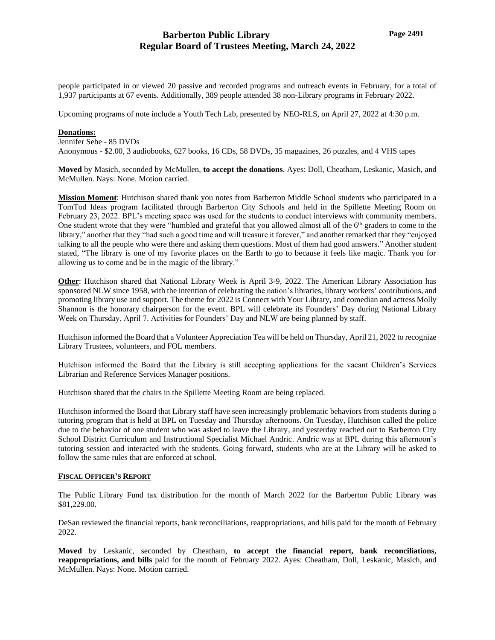people participated in or viewed 20 passive and recorded programs and outreach events in February, for a total of 1,937 participants at 67 events. Additionally, 389 people attended 38 non-Library programs in February 2022.

Upcoming programs of note include a Youth Tech Lab, presented by NEO-RLS, on April 27, 2022 at 4:30 p.m.

#### **Donations:**

Jennifer Sebe - 85 DVDs Anonymous - \$2.00, 3 audiobooks, 627 books, 16 CDs, 58 DVDs, 35 magazines, 26 puzzles, and 4 VHS tapes

**Moved** by Masich, seconded by McMullen, **to accept the donations**. Ayes: Doll, Cheatham, Leskanic, Masich, and McMullen. Nays: None. Motion carried.

**Mission Moment**: Hutchison shared thank you notes from Barberton Middle School students who participated in a TomTod Ideas program facilitated through Barberton City Schools and held in the Spillette Meeting Room on February 23, 2022. BPL's meeting space was used for the students to conduct interviews with community members. One student wrote that they were "humbled and grateful that you allowed almost all of the 6<sup>th</sup> graders to come to the library," another that they "had such a good time and will treasure it forever," and another remarked that they "enjoyed talking to all the people who were there and asking them questions. Most of them had good answers." Another student stated, "The library is one of my favorite places on the Earth to go to because it feels like magic. Thank you for allowing us to come and be in the magic of the library."

**Other**: Hutchison shared that National Library Week is April 3-9, 2022. The American Library Association has sponsored NLW since 1958, with the intention of celebrating the nation's libraries, library workers' contributions, and promoting library use and support. The theme for 2022 is Connect with Your Library, and comedian and actress Molly Shannon is the honorary chairperson for the event. BPL will celebrate its Founders' Day during National Library Week on Thursday, April 7. Activities for Founders' Day and NLW are being planned by staff.

Hutchison informed the Board that a Volunteer Appreciation Tea will be held on Thursday, April 21, 2022 to recognize Library Trustees, volunteers, and FOL members.

Hutchison informed the Board that the Library is still accepting applications for the vacant Children's Services Librarian and Reference Services Manager positions.

Hutchison shared that the chairs in the Spillette Meeting Room are being replaced.

Hutchison informed the Board that Library staff have seen increasingly problematic behaviors from students during a tutoring program that is held at BPL on Tuesday and Thursday afternoons. On Tuesday, Hutchison called the police due to the behavior of one student who was asked to leave the Library, and yesterday reached out to Barberton City School District Curriculum and Instructional Specialist Michael Andric. Andric was at BPL during this afternoon's tutoring session and interacted with the students. Going forward, students who are at the Library will be asked to follow the same rules that are enforced at school.

### **FISCAL OFFICER'S REPORT**

The Public Library Fund tax distribution for the month of March 2022 for the Barberton Public Library was \$81,229.00.

DeSan reviewed the financial reports, bank reconciliations, reappropriations, and bills paid for the month of February 2022.

**Moved** by Leskanic, seconded by Cheatham, **to accept the financial report, bank reconciliations, reappropriations, and bills** paid for the month of February 2022. Ayes: Cheatham, Doll, Leskanic, Masich, and McMullen. Nays: None. Motion carried.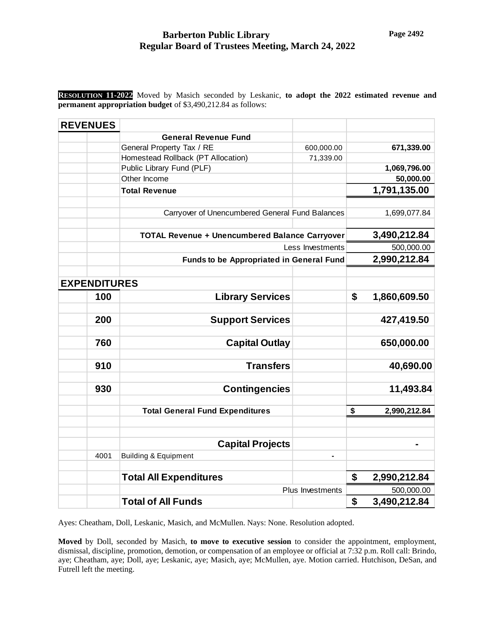**RESOLUTION 11-2022** Moved by Masich seconded by Leskanic, **to adopt the 2022 estimated revenue and permanent appropriation budget** of \$3,490,212.84 as follows:

| <b>REVENUES</b>     |                                                       |                |                    |
|---------------------|-------------------------------------------------------|----------------|--------------------|
|                     | <b>General Revenue Fund</b>                           |                |                    |
|                     | General Property Tax / RE                             | 600,000.00     | 671,339.00         |
|                     | Homestead Rollback (PT Allocation)                    | 71,339.00      |                    |
|                     | Public Library Fund (PLF)                             |                | 1,069,796.00       |
|                     | Other Income                                          |                | 50,000.00          |
|                     | <b>Total Revenue</b>                                  |                | 1,791,135.00       |
|                     |                                                       |                |                    |
|                     | Carryover of Unencumbered General Fund Balances       |                | 1,699,077.84       |
|                     | <b>TOTAL Revenue + Unencumbered Balance Carryover</b> |                | 3,490,212.84       |
|                     | Less Investments                                      |                | 500,000.00         |
|                     | <b>Funds to be Appropriated in General Fund</b>       |                | 2,990,212.84       |
|                     |                                                       |                |                    |
| <b>EXPENDITURES</b> |                                                       |                |                    |
| 100                 | <b>Library Services</b>                               |                | \$<br>1,860,609.50 |
|                     |                                                       |                |                    |
| 200                 | <b>Support Services</b>                               |                | 427,419.50         |
|                     |                                                       |                |                    |
| 760                 | <b>Capital Outlay</b>                                 |                | 650,000.00         |
| 910                 | <b>Transfers</b>                                      |                | 40,690.00          |
|                     |                                                       |                |                    |
| 930                 | <b>Contingencies</b>                                  |                | 11,493.84          |
|                     |                                                       |                |                    |
|                     | <b>Total General Fund Expenditures</b>                |                | \$<br>2,990,212.84 |
|                     |                                                       |                |                    |
|                     |                                                       |                |                    |
|                     | <b>Capital Projects</b>                               |                |                    |
| 4001                | <b>Building &amp; Equipment</b>                       | $\blacksquare$ |                    |
|                     | <b>Total All Expenditures</b>                         |                | \$<br>2,990,212.84 |
|                     | Plus Investments                                      |                | 500,000.00         |
|                     | <b>Total of All Funds</b>                             |                | \$<br>3,490,212.84 |

Ayes: Cheatham, Doll, Leskanic, Masich, and McMullen. Nays: None. Resolution adopted.

**Moved** by Doll, seconded by Masich, **to move to executive session** to consider the appointment, employment, dismissal, discipline, promotion, demotion, or compensation of an employee or official at 7:32 p.m. Roll call: Brindo, aye; Cheatham, aye; Doll, aye; Leskanic, aye; Masich, aye; McMullen, aye. Motion carried. Hutchison, DeSan, and Futrell left the meeting.